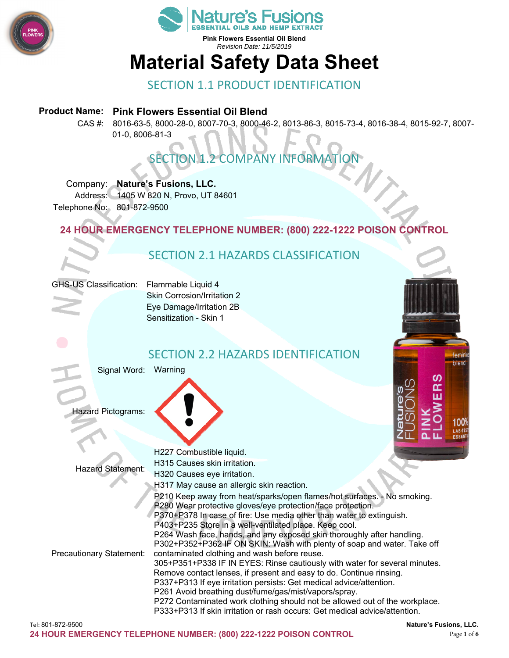



**Pink Flowers Essential Oil Blend**  *Revision Date: 11/5/2019* 

# **Material Safety Data Sheet**

## SECTION 1.1 PRODUCT IDENTIFICATION

#### **Product Name: Pink Flowers Essential Oil Blend**

CAS #: 8016-63-5, 8000-28-0, 8007-70-3, 8000-46-2, 8013-86-3, 8015-73-4, 8016-38-4, 8015-92-7, 8007- 01-0, 8006-81-3

# **SECTION 1.2 COMPANY INFORMAT**

#### Company: **Nature's Fusions, LLC.**

Address: 1405 W 820 N, Provo, UT 84601 Telephone No: 801-872-9500

## **24 HOUR EMERGENCY TELEPHONE NUMBER: (800) 222-1222 POISON CONTROL**

# SECTION 2.1 HAZARDS CLASSIFICATION

|  |  | <b>GHS-US Classification:</b> |
|--|--|-------------------------------|
|--|--|-------------------------------|

Flammable Liquid 4 Skin Corrosion/Irritation 2 Eye Damage/Irritation 2B Sensitization - Skin 1

# SECTION 2.2 HAZARDS IDENTIFICATION

Signal Word: Warning

Hazard Pictograms:



|                                 | H227 Combustible liquid.                                                    |                        |
|---------------------------------|-----------------------------------------------------------------------------|------------------------|
| <b>Hazard Statement:</b>        | H315 Causes skin irritation.                                                |                        |
|                                 | H320 Causes eye irritation.                                                 |                        |
|                                 | H317 May cause an allergic skin reaction.                                   |                        |
|                                 | P210 Keep away from heat/sparks/open flames/hot surfaces. - No smoking.     |                        |
|                                 | P280 Wear protective gloves/eye protection/face protection.                 |                        |
|                                 | P370+P378 In case of fire: Use media other than water to extinguish.        |                        |
|                                 | P403+P235 Store in a well-ventilated place. Keep cool.                      |                        |
|                                 | P264 Wash face, hands, and any exposed skin thoroughly after handling.      |                        |
|                                 | P302+P352+P362 IF ON SKIN: Wash with plenty of soap and water. Take off     |                        |
| <b>Precautionary Statement:</b> | contaminated clothing and wash before reuse.                                |                        |
|                                 | 305+P351+P338 IF IN EYES: Rinse cautiously with water for several minutes.  |                        |
|                                 | Remove contact lenses, if present and easy to do. Continue rinsing.         |                        |
|                                 | P337+P313 If eye irritation persists: Get medical advice/attention.         |                        |
|                                 | P261 Avoid breathing dust/fume/gas/mist/vapors/spray.                       |                        |
|                                 | P272 Contaminated work clothing should not be allowed out of the workplace. |                        |
|                                 | P333+P313 If skin irritation or rash occurs: Get medical advice/attention.  |                        |
| Tel: 801-872-9500               |                                                                             | Nature's Fusions, LLC. |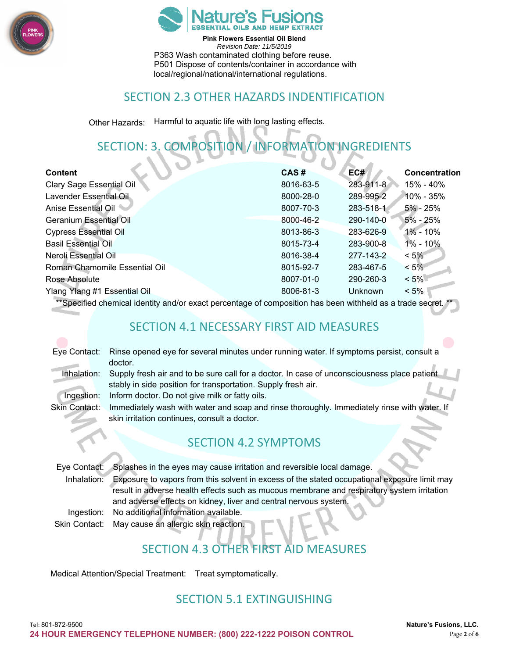



**Pink Flowers Essential Oil Blend**  *Revision Date: 11/5/2019*  P363 Wash contaminated clothing before reuse. P501 Dispose of contents/container in accordance with local/regional/national/international regulations.

## SECTION 2.3 OTHER HAZARDS INDENTIFICATION

Other Hazards: Harmful to aquatic life with long lasting effects.

# SECTION: 3. COMPOSITION / INFORMATION INGREDIENTS

| <b>Content</b>                  | CAS#      | EC#            | Concentration |
|---------------------------------|-----------|----------------|---------------|
| <b>Clary Sage Essential Oil</b> | 8016-63-5 | 283-911-8      | 15% - 40%     |
| Lavender Essential Oil          | 8000-28-0 | 289-995-2      | 10% - 35%     |
| Anise Essential Oil             | 8007-70-3 | 283-518-1      | $5\%$ - 25%   |
| Geranium Essential Oil          | 8000-46-2 | 290-140-0      | $5\%$ - 25%   |
| <b>Cypress Essential Oil</b>    | 8013-86-3 | 283-626-9      | 1% - 10%      |
| <b>Basil Essential Oil</b>      | 8015-73-4 | 283-900-8      | 1% - 10%      |
| Neroli Essential Oil            | 8016-38-4 | 277-143-2      | $< 5\%$       |
| Roman Chamomile Essential Oil   | 8015-92-7 | 283-467-5      | $< 5\%$       |
| Rose Absolute                   | 8007-01-0 | 290-260-3      | $< 5\%$       |
| Ylang Ylang #1 Essential Oil    | 8006-81-3 | <b>Unknown</b> | $< 5\%$       |
| $-1$                            |           |                |               |

\*\*Specified chemical identity and/or exact percentage of composition has been withheld as a trade secret. \*\*

## SECTION 4.1 NECESSARY FIRST AID MEASURES

| Eye Contact: Rinse opened eye for several minutes under running water. If symptoms persist, consult a |  |  |
|-------------------------------------------------------------------------------------------------------|--|--|
| doctor.                                                                                               |  |  |

- 
- Inhalation: Supply fresh air and to be sure call for a doctor. In case of unconsciousness place patient stably in side position for transportation. Supply fresh air.
- Ingestion: Inform doctor. Do not give milk or fatty oils.
- 
- Skin Contact: Immediately wash with water and soap and rinse thoroughly. Immediately rinse with water. If skin irritation continues, consult a doctor.

# SECTION 4.2 SYMPTOMS

|             | Eye Contact: Splashes in the eyes may cause irritation and reversible local damage.          |
|-------------|----------------------------------------------------------------------------------------------|
| Inhalation: | Exposure to vapors from this solvent in excess of the stated occupational exposure limit may |
|             | result in adverse health effects such as mucous membrane and respiratory system irritation   |
|             | and adverse effects on kidney, liver and central nervous system.                             |
|             | Ingestion: No additional information available.                                              |
|             | Skin Contact: May cause an allergic skin reaction.                                           |

# SECTION 4.3 OTHER FIRST AID MEASURES

Medical Attention/Special Treatment: Treat symptomatically.

# SECTION 5.1 EXTINGUISHING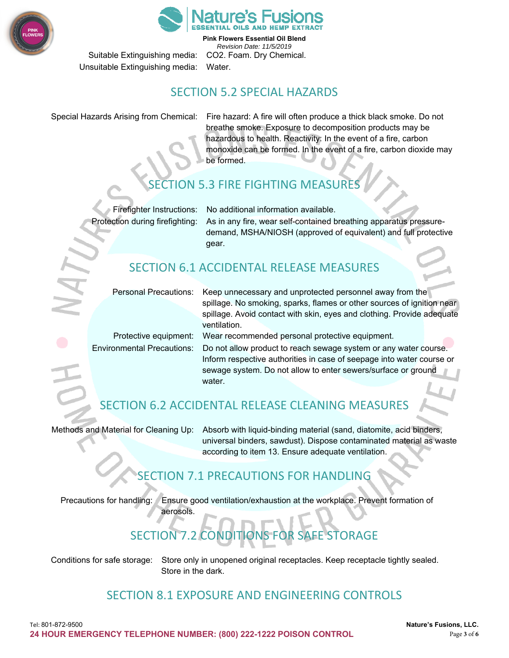



**Pink Flowers Essential Oil Blend**  *Revision Date: 11/5/2019*  Suitable Extinguishing media: CO2. Foam. Dry Chemical.

Unsuitable Extinguishing media: Water.

## SECTION 5.2 SPECIAL HAZARDS

Special Hazards Arising from Chemical: Fire hazard: A fire will often produce a thick black smoke. Do not breathe smoke. Exposure to decomposition products may be hazardous to health. Reactivity: In the event of a fire, carbon monoxide can be formed. In the event of a fire, carbon dioxide may be formed.

# **3 FIRE FIGHTING MEASURE**

Firefighter Instructions: No additional information available.

Protection during firefighting: As in any fire, wear self-contained breathing apparatus pressuredemand, MSHA/NIOSH (approved of equivalent) and full protective gear.

# SECTION 6.1 ACCIDENTAL RELEASE MEASURES

| <b>Personal Precautions:</b> |
|------------------------------|
|                              |

Keep unnecessary and unprotected personnel away from the spillage. No smoking, sparks, flames or other sources of ignition near spillage. Avoid contact with skin, eyes and clothing. Provide adequate ventilation.

Protective equipment: Wear recommended personal protective equipment. Environmental Precautions: Do not allow product to reach sewage system or any water course. Inform respective authorities in case of seepage into water course or sewage system. Do not allow to enter sewers/surface or ground water.

# SECTION 6.2 ACCIDENTAL RELEASE CLEANING MEASURES

Methods and Material for Cleaning Up: Absorb with liquid-binding material (sand, diatomite, acid binders, universal binders, sawdust). Dispose contaminated material as waste according to item 13. Ensure adequate ventilation.

# SECTION 7.1 PRECAUTIONS FOR HANDLING

Precautions for handling: Ensure good ventilation/exhaustion at the workplace. Prevent formation of aerosols.

# SECTION 7.2 CONDITIONS FOR SAFE STORAGE

Conditions for safe storage: Store only in unopened original receptacles. Keep receptacle tightly sealed. Store in the dark.

## SECTION 8.1 EXPOSURE AND ENGINEERING CONTROLS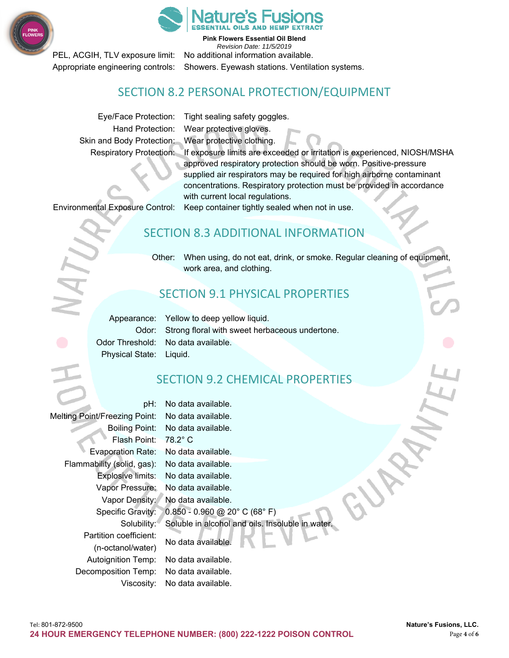



**Pink Flowers Essential Oil Blend** 

*Revision Date: 11/5/2019*  PEL, ACGIH, TLV exposure limit: No additional information available. Appropriate engineering controls: Showers. Eyewash stations. Ventilation systems.

## SECTION 8.2 PERSONAL PROTECTION/EQUIPMENT

Eye/Face Protection: Tight sealing safety goggles. Hand Protection: Wear protective gloves. Skin and Body Protection: Wear protective clothing.

Respiratory Protection: If exposure limits are exceeded or irritation is experienced, NIOSH/MSHA approved respiratory protection should be worn. Positive-pressure supplied air respirators may be required for high airborne contaminant concentrations. Respiratory protection must be provided in accordance with current local regulations.

Environmental Exposure Control: Keep container tightly sealed when not in use.

## SECTION 8.3 ADDITIONAL INFORMATION

Other: When using, do not eat, drink, or smoke. Regular cleaning of equipment, work area, and clothing.

# SECTION 9.1 PHYSICAL PROPERTIES

Physical State: Liquid.

Appearance: Yellow to deep yellow liquid. Odor: Strong floral with sweet herbaceous undertone. Odor Threshold: No data available.

# SECTION 9.2 CHEMICAL PROPERTIES

pH: No data available. Melting Point/Freezing Point: No data available. Boiling Point: No data available. Flash Point: 78.2° C Evaporation Rate: No data available. Flammability (solid, gas): No data available. Explosive limits: No data available. Vapor Pressure: No data available. Vapor Density: No data available. Specific Gravity: 0.850 - 0.960 @ 20° C (68° F) Solubility: Soluble in alcohol and oils. Insoluble in water. Partition coefficient: No data available. (n-octanol/water) Autoignition Temp: No data available. Decomposition Temp: No data available. Viscosity: No data available.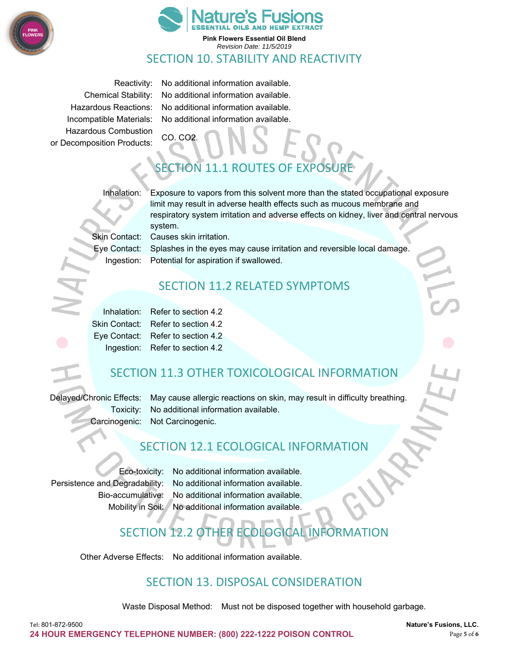



*Revision Date: 11/5/2019* 

## SECTION 10. STABILITY AND REACTIVITY

Hazardous Combustion CO. CO2. or Decomposition Products:

Reactivity: No additional information available. Chemical Stability: No additional information available. Hazardous Reactions: No additional information available. Incompatible Materials: No additional information available.

# $FION$  11.1 ROUTES

Inhalation: Exposure to vapors from this solvent more than the stated occupational exposure limit may result in adverse health effects such as mucous membrane and respiratory system irritation and adverse effects on kidney, liver and central nervous system.

Skin Contact: Causes skin irritation.

Eye Contact: Splashes in the eyes may cause irritation and reversible local damage. Ingestion: Potential for aspiration if swallowed.

## SECTION 11.2 RELATED SYMPTOMS

Inhalation: Refer to section 4.2 Skin Contact: Refer to section 4.2 Eye Contact: Refer to section 4.2 Ingestion: Refer to section 4.2

# SECTION 11.3 OTHER TOXICOLOGICAL INFORMATION

Delayed/Chronic Effects: May cause allergic reactions on skin, may result in difficulty breathing. Toxicity: No additional information available. Carcinogenic: Not Carcinogenic.

## SECTION 12.1 ECOLOGICAL INFORMATION

Eco-toxicity: No additional information available. Persistence and Degradability: No additional information available. Bio-accumulative: No additional information available. Mobility in Soil: No additional information available.

# SECTION 12.2 OTHER ECOLOGICAL INFORMATION

Other Adverse Effects: No additional information available.

# SECTION 13. DISPOSAL CONSIDERATION

Waste Disposal Method: Must not be disposed together with household garbage.